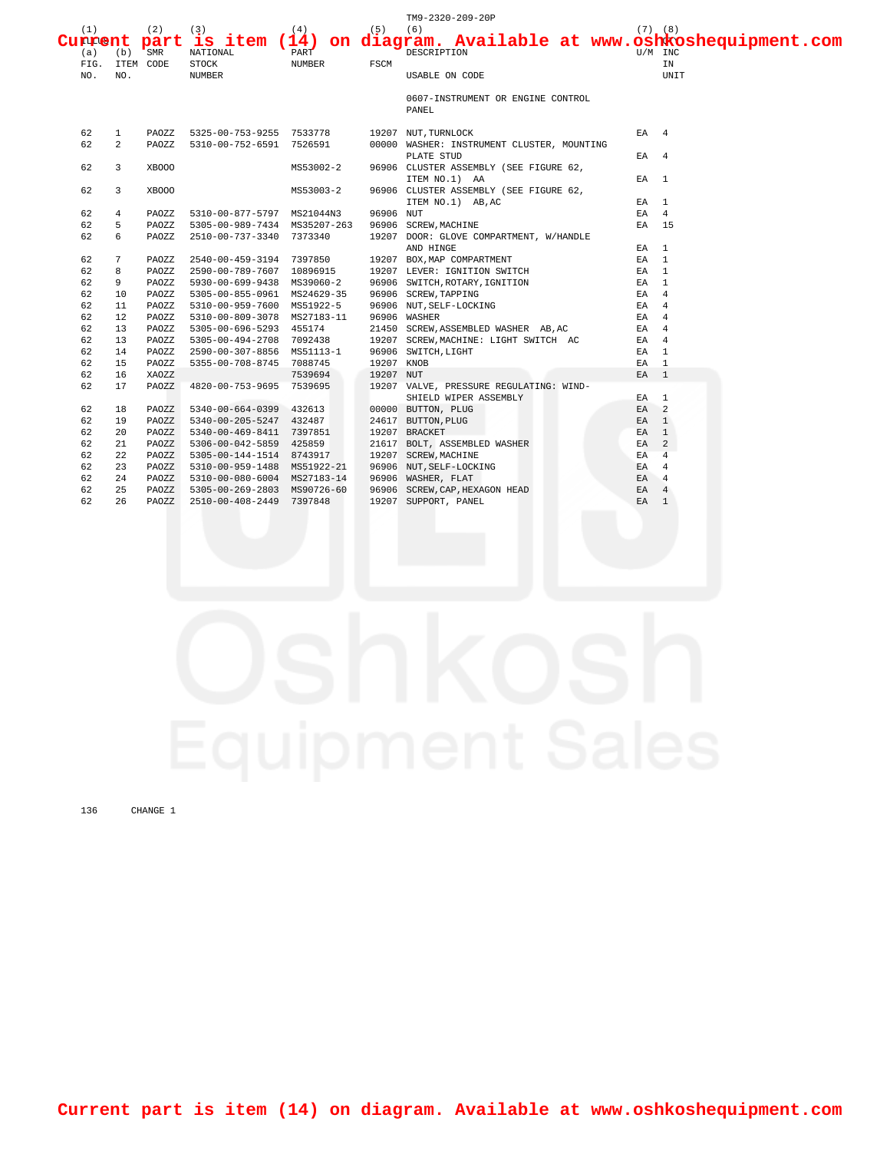|     |                |       |                                |           |            | TM9-2320-209-20P                                                            |                 |                |
|-----|----------------|-------|--------------------------------|-----------|------------|-----------------------------------------------------------------------------|-----------------|----------------|
| (1) |                | (2)   | (3)                            | (4)       | $(5)$ (6)  |                                                                             |                 | $(7)$ $(8)$    |
|     |                |       |                                |           |            | Current part is item (14) on diagram. Available at www.oshkoshequipment.com |                 |                |
| (a) | $(b)$ SMR      |       | NATIONAL                       | PART      |            | DESCRIPTION                                                                 |                 | U/M INC        |
|     | FIG. ITEM CODE |       | STOCK                          | NUMBER    | FSCM       |                                                                             |                 | IN             |
| NO. | NO.            |       | <b>NUMBER</b>                  |           |            | USABLE ON CODE                                                              |                 | UNIT           |
|     |                |       |                                |           |            |                                                                             |                 |                |
|     |                |       |                                |           |            | 0607-INSTRUMENT OR ENGINE CONTROL                                           |                 |                |
|     |                |       |                                |           |            | PANEL                                                                       |                 |                |
| 62  | $\mathbf{1}$   | PAOZZ | 5325-00-753-9255 7533778       |           |            | 19207 NUT, TURNLOCK                                                         | $EA$ 4          |                |
| 62  | $\overline{a}$ | PAOZZ | 5310-00-752-6591 7526591       |           |            | 00000 WASHER: INSTRUMENT CLUSTER, MOUNTING                                  |                 |                |
|     |                |       |                                |           |            | PLATE STUD                                                                  | $EA$ 4          |                |
| 62  | 3              | XBOOO |                                | MS53002-2 |            | 96906 CLUSTER ASSEMBLY (SEE FIGURE 62,                                      |                 |                |
|     |                |       |                                |           |            | ITEM NO.1) AA                                                               | EA <sub>1</sub> |                |
| 62  | 3              | XBOOO |                                | MS53003-2 |            | 96906 CLUSTER ASSEMBLY (SEE FIGURE 62,                                      |                 |                |
|     |                |       |                                |           |            | ITEM NO.1) AB, AC                                                           | EA 1            |                |
| 62  | 4              | PAOZZ | 5310-00-877-5797 MS21044N3     |           | 96906 NUT  |                                                                             | $EA$ 4          |                |
| 62  | 5              | PAOZZ | 5305-00-989-7434 MS35207-263   |           |            | 96906 SCREW, MACHINE                                                        | EA 15           |                |
| 62  | 6              | PAOZZ | 2510-00-737-3340 7373340       |           |            | 19207 DOOR: GLOVE COMPARTMENT, W/HANDLE                                     |                 |                |
|     |                |       |                                |           |            | AND HINGE                                                                   | EA <sub>1</sub> |                |
| 62  | 7              | PAOZZ | 2540-00-459-3194 7397850       |           |            | 19207 BOX, MAP COMPARTMENT                                                  | EA 1            |                |
| 62  | 8              | PAOZZ | 2590-00-789-7607 10896915      |           |            | 19207 LEVER: IGNITION SWITCH                                                | EA 1            |                |
| 62  | 9              | PAOZZ | 5930-00-699-9438 MS39060-2     |           |            | 96906 SWITCH, ROTARY, IGNITION<br>96906 SCREW TARRING                       | EA 1            |                |
| 62  | 10             | PAOZZ | 5305-00-855-0961 MS24629-35    |           |            | 96906 SCREW, TAPPING                                                        | EA              | $\overline{4}$ |
| 62  | 11             | PAOZZ | 5310-00-959-7600 MS51922-5     |           |            | 96906 NUT, SELF-LOCKING                                                     | EA              | $\overline{4}$ |
| 62  | 12             | PAOZZ | 5310-00-809-3078 MS27183-11    |           |            | 96906 WASHER                                                                | EA              | $\overline{4}$ |
| 62  | 13             | PAOZZ | 5305-00-696-5293 455174        |           |            | 21450 SCREW, ASSEMBLED WASHER AB, AC                                        | EA              | $\overline{4}$ |
| 62  | 13             | PAOZZ | 5305-00-494-2708 7092438       |           |            | 19207 SCREW, MACHINE: LIGHT SWITCH AC                                       | $EA$ 4          |                |
| 62  | 14             | PAOZZ | 2590-00-307-8856 MS51113-1     |           |            | 96906 SWITCH, LIGHT                                                         | EA <sub>1</sub> |                |
| 62  | 15             | PAOZZ | 5355-00-708-8745 7088745       |           | 19207 KNOB |                                                                             | EA <sub>1</sub> |                |
| 62  | 16             | XAOZZ |                                | 7539694   | 19207 NUT  |                                                                             | EA 1            |                |
| 62  | 17             |       | PAOZZ 4820-00-753-9695 7539695 |           |            | 19207 VALVE, PRESSURE REGULATING: WIND-                                     |                 |                |
|     |                |       |                                |           |            | SHIELD WIPER ASSEMBLY                                                       | $EA$ 1          |                |
| 62  | 18             | PAOZZ | 5340-00-664-0399 432613        |           |            | 00000 BUTTON, PLUG                                                          | EA <sub>2</sub> |                |
| 62  | 19             | PAOZZ | 5340-00-205-5247 432487        |           |            | 24617 BUTTON, PLUG                                                          | EA <sub>1</sub> |                |
| 62  | 20             | PAOZZ | 5340-00-469-8411 7397851       |           |            | 19207 BRACKET                                                               | EA 1            |                |
| 62  | 21             | PAOZZ | 5306-00-042-5859 425859        |           |            | 21617 BOLT, ASSEMBLED WASHER                                                | EA              | 2              |
| 62  | 22             | PAOZZ | 5305-00-144-1514 8743917       |           |            | 19207 SCREW, MACHINE                                                        | EA              | $\overline{4}$ |
| 62  | 23             | PAOZZ | 5310-00-959-1488 MS51922-21    |           |            | 96906 NUT, SELF-LOCKING                                                     | EA              | $\overline{4}$ |
| 62  | 24             | PAOZZ | 5310-00-080-6004 MS27183-14    |           |            | 96906 WASHER, FLAT                                                          | EA              | $\overline{4}$ |
| 62  | 25             | PAOZZ | 5305-00-269-2803 MS90726-60    |           |            | 96906 SCREW, CAP, HEXAGON HEAD                                              | EA              | $\overline{4}$ |
| 62  | 26             | PAOZZ | 2510-00-408-2449 7397848       |           |            | 19207 SUPPORT, PANEL                                                        | EA              | $\overline{1}$ |

136 CHANGE 1